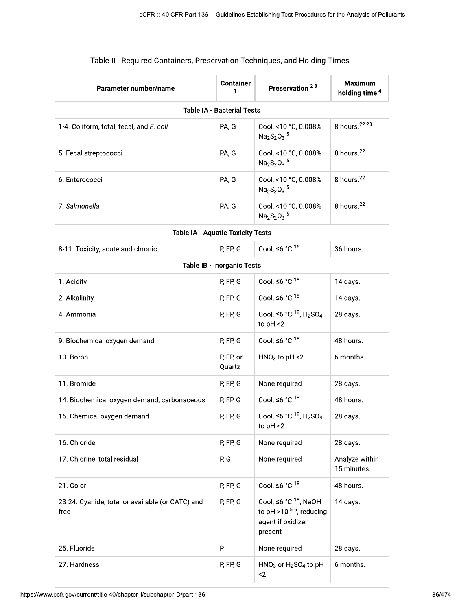| Parameter number/name                                    | <b>Container</b><br>1      | Preservation <sup>23</sup>                                                                    | <b>Maximum</b><br>holding time <sup>4</sup> |  |  |  |
|----------------------------------------------------------|----------------------------|-----------------------------------------------------------------------------------------------|---------------------------------------------|--|--|--|
| <b>Table IA - Bacterial Tests</b>                        |                            |                                                                                               |                                             |  |  |  |
| 1-4. Coliform, total, fecal, and E. coli                 | PA, G                      | Cool, <10 °C, 0.008%<br>$Na2S2O3$ <sup>5</sup>                                                | 8 hours. <sup>22</sup> 23                   |  |  |  |
| 5. Fecal streptococci                                    | PA, G                      | Cool, <10 °C, 0.008%<br>$Na2S2O3$ <sup>5</sup>                                                | 8 hours. <sup>22</sup>                      |  |  |  |
| 6. Enterococci                                           | PA, G                      | Cool, <10 °C, 0.008%<br>$Na2S2O3$ <sup>5</sup>                                                | 8 hours. <sup>22</sup>                      |  |  |  |
| 7. Salmonella                                            | PA, G                      | Cool, <10 °C, 0.008%<br>Na <sub>2</sub> S <sub>2</sub> O <sub>3</sub> <sup>5</sup>            | 8 hours. <sup>22</sup>                      |  |  |  |
| <b>Table IA - Aquatic Toxicity Tests</b>                 |                            |                                                                                               |                                             |  |  |  |
| 8-11. Toxicity, acute and chronic                        | P, FP, G                   | Cool, $\leq 6$ °C $^{16}$                                                                     | 36 hours.                                   |  |  |  |
|                                                          | Table IB - Inorganic Tests |                                                                                               |                                             |  |  |  |
| 1. Acidity                                               | P, FP, G                   | Cool, $\leq 6$ °C $^{18}$                                                                     | 14 days.                                    |  |  |  |
| 2. Alkalinity                                            | P, FP, G                   | Cool, $\leq 6$ °C $^{18}$                                                                     | 14 days.                                    |  |  |  |
| 4. Ammonia                                               | P, FP, G                   | Cool, ≤6 °C $18$ , H <sub>2</sub> SO <sub>4</sub><br>to $pH < 2$                              | 28 days.                                    |  |  |  |
| 9. Biochemical oxygen demand                             | P, FP, G                   | Cool, $\leq 6$ °C $^{18}$                                                                     | 48 hours.                                   |  |  |  |
| 10. Boron                                                | P, FP, or<br>Quartz        | $HNO3$ to pH <2                                                                               | 6 months.                                   |  |  |  |
| 11. Bromide                                              | P, FP, G                   | None required                                                                                 | 28 days.                                    |  |  |  |
| 14. Biochemical oxygen demand, carbonaceous              | P, FP G                    | Cool, $\leq 6$ °C $^{18}$                                                                     | 48 hours.                                   |  |  |  |
| 15. Chemical oxygen demand                               | P, FP, G                   | Cool, $\leq 6$ °C $^{18}$ , H <sub>2</sub> SO <sub>4</sub><br>to $pH < 2$                     | 28 days.                                    |  |  |  |
| 16. Chloride                                             | P, FP, G                   | None required                                                                                 | 28 days.                                    |  |  |  |
| 17. Chlorine, total residual                             | P, G                       | None required                                                                                 | Analyze within<br>15 minutes.               |  |  |  |
| 21. Color                                                | P, FP, G                   | Cool, $\leq 6$ °C $^{18}$                                                                     | 48 hours.                                   |  |  |  |
| 23-24. Cyanide, total or available (or CATC) and<br>free | P, FP, G                   | Cool, ≤6 °C <sup>18</sup> , NaOH<br>to pH >10 $56$ , reducing<br>agent if oxidizer<br>present | 14 days.                                    |  |  |  |
| 25. Fluoride                                             | P                          | None required                                                                                 | 28 days.                                    |  |  |  |
| 27. Hardness                                             | P, FP, G                   | $HNO3$ or $H2SO4$ to pH<br>$\leq$                                                             | 6 months.                                   |  |  |  |

## Table II - Required Containers, Preservation Techniques, and Holding Times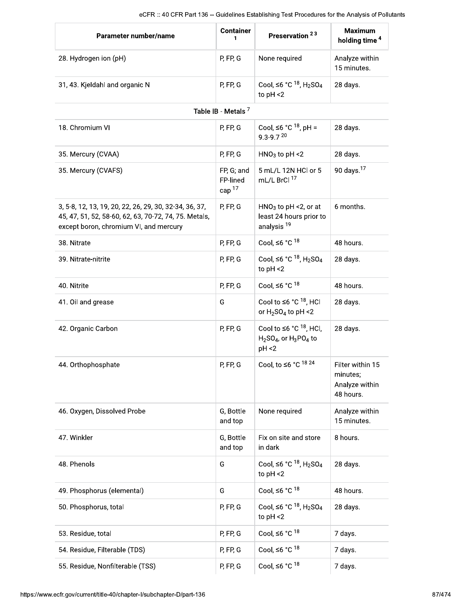|                                                                                                                                                           |                                    | eCFR :: 40 CFR Part 136 -- Guidelines Establishing Test Procedures for the Analysis of Pollutants |                                                             |
|-----------------------------------------------------------------------------------------------------------------------------------------------------------|------------------------------------|---------------------------------------------------------------------------------------------------|-------------------------------------------------------------|
| Parameter number/name                                                                                                                                     | <b>Container</b><br>1              | Preservation <sup>23</sup>                                                                        | <b>Maximum</b><br>holding time <sup>4</sup>                 |
| 28. Hydrogen ion (pH)                                                                                                                                     | P, FP, G                           | None required                                                                                     | Analyze within<br>15 minutes.                               |
| 31, 43. Kjeldahl and organic N                                                                                                                            | P, FP, G                           | Cool, ≤6 °C $^{18}$ , H <sub>2</sub> SO <sub>4</sub><br>to $pH < 2$                               | 28 days.                                                    |
|                                                                                                                                                           | Table IB - Metals <sup>7</sup>     |                                                                                                   |                                                             |
| 18. Chromium VI                                                                                                                                           | P, FP, G                           | Cool, ≤6 °C $^{18}$ , pH =<br>$9.3 - 9.720$                                                       | 28 days.                                                    |
| 35. Mercury (CVAA)                                                                                                                                        | P, FP, G                           | $HNO3$ to pH <2                                                                                   | 28 days.                                                    |
| 35. Mercury (CVAFS)                                                                                                                                       | FP, G; and<br>FP-lined<br>cap $17$ | 5 mL/L 12N HCl or 5<br>mL/L BrCl 17                                                               | 90 days. <sup>17</sup>                                      |
| 3, 5-8, 12, 13, 19, 20, 22, 26, 29, 30, 32-34, 36, 37,<br>45, 47, 51, 52, 58-60, 62, 63, 70-72, 74, 75. Metals,<br>except boron, chromium VI, and mercury | P, FP, G                           | $HNO3$ to pH <2, or at<br>least 24 hours prior to<br>analysis <sup>19</sup>                       | 6 months.                                                   |
| 38. Nitrate                                                                                                                                               | P, FP, G                           | Cool, $\leq 6$ °C $^{18}$                                                                         | 48 hours.                                                   |
| 39. Nitrate-nitrite                                                                                                                                       | P, FP, G                           | Cool, ≤6 °C $^{18}$ , H <sub>2</sub> SO <sub>4</sub><br>to $pH < 2$                               | 28 days.                                                    |
| 40. Nitrite                                                                                                                                               | P, FP, G                           | Cool, $\leq 6$ °C $^{18}$                                                                         | 48 hours.                                                   |
| 41. Oil and grease                                                                                                                                        | G                                  | Cool to $\leq 6$ °C $^{18}$ , HCI<br>or $H_2SO_4$ to pH <2                                        | 28 days.                                                    |
| 42. Organic Carbon                                                                                                                                        | P, FP, G                           | Cool to $\leq 6$ °C $^{18}$ , HCl,<br>$H2SO4$ , or $H3PO4$ to<br>pH < 2                           | 28 days.                                                    |
| 44. Orthophosphate                                                                                                                                        | P, FP, G                           | Cool, to $\leq 6$ °C <sup>1824</sup>                                                              | Filter within 15<br>minutes;<br>Analyze within<br>48 hours. |
| 46. Oxygen, Dissolved Probe                                                                                                                               | G, Bottle<br>and top               | None required                                                                                     | Analyze within<br>15 minutes.                               |
| 47. Winkler                                                                                                                                               | G, Bottle<br>and top               | Fix on site and store<br>in dark                                                                  | 8 hours.                                                    |
| 48. Phenols                                                                                                                                               | G                                  | Cool, ≤6 °C $^{18}$ , H <sub>2</sub> SO <sub>4</sub><br>to $pH < 2$                               | 28 days.                                                    |
| 49. Phosphorus (elemental)                                                                                                                                | G                                  | Cool, $\leq 6$ °C $^{18}$                                                                         | 48 hours.                                                   |
| 50. Phosphorus, total                                                                                                                                     | P, FP, G                           | Cool, ≤6 °C $^{18}$ , H <sub>2</sub> SO <sub>4</sub><br>to $pH < 2$                               | 28 days.                                                    |
| 53. Residue, total                                                                                                                                        | P, FP, G                           | Cool, $\leq 6$ °C $^{18}$                                                                         | 7 days.                                                     |
| 54. Residue, Filterable (TDS)                                                                                                                             | P, FP, G                           | Cool, $\leq 6$ °C $^{18}$                                                                         | 7 days.                                                     |
| 55. Residue, Nonfilterable (TSS)                                                                                                                          | P, FP, G                           | Cool, $\leq 6$ °C $^{18}$                                                                         | 7 days.                                                     |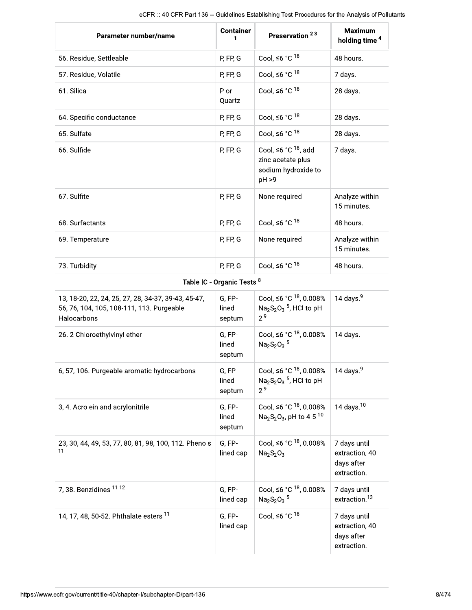| Parameter number/name                                                                                           | <b>Container</b><br>1      | Preservation <sup>23</sup>                                                                              | <b>Maximum</b><br>holding time <sup>4</sup>                 |
|-----------------------------------------------------------------------------------------------------------------|----------------------------|---------------------------------------------------------------------------------------------------------|-------------------------------------------------------------|
| 56. Residue, Settleable                                                                                         | P, FP, G                   | Cool, $\leq 6$ °C $^{18}$                                                                               | 48 hours.                                                   |
| 57. Residue, Volatile                                                                                           | P, FP, G                   | Cool, $\leq 6$ °C $^{18}$                                                                               | 7 days.                                                     |
| 61. Silica                                                                                                      | P or<br>Quartz             | Cool, $\leq 6$ °C $^{18}$                                                                               | 28 days.                                                    |
| 64. Specific conductance                                                                                        | P, FP, G                   | Cool, $\leq 6$ °C $^{18}$                                                                               | 28 days.                                                    |
| 65. Sulfate                                                                                                     | P, FP, G                   | Cool, $\leq 6$ °C $^{18}$                                                                               | 28 days.                                                    |
| 66. Sulfide                                                                                                     | P, FP, G                   | Cool, $\leq 6$ °C $^{18}$ , add<br>zinc acetate plus<br>sodium hydroxide to<br>pH >9                    | 7 days.                                                     |
| 67. Sulfite                                                                                                     | P, FP, G                   | None required                                                                                           | Analyze within<br>15 minutes.                               |
| 68. Surfactants                                                                                                 | P, FP, G                   | Cool, $\leq 6$ °C $^{18}$                                                                               | 48 hours.                                                   |
| 69. Temperature                                                                                                 | P, FP, G                   | None required                                                                                           | Analyze within<br>15 minutes.                               |
| 73. Turbidity                                                                                                   | P, FP, G                   | Cool, $\leq 6$ °C $^{18}$                                                                               | 48 hours.                                                   |
|                                                                                                                 | Table IC - Organic Tests 8 |                                                                                                         |                                                             |
| 13, 18-20, 22, 24, 25, 27, 28, 34-37, 39-43, 45-47,<br>56, 76, 104, 105, 108-111, 113. Purgeable<br>Halocarbons | G, FP-<br>lined<br>septum  | Cool, ≤6 °C <sup>18</sup> , 0.008%<br>$Na2S2O3$ <sup>5</sup> , HCl to pH<br>2 <sup>9</sup>              | 14 days. $9$                                                |
| 26. 2-Chloroethylvinyl ether                                                                                    | G, FP-<br>lined<br>septum  | Cool, ≤6 °C $^{18}$ , 0.008%<br>Na <sub>2</sub> S <sub>2</sub> O <sub>3</sub> <sup>5</sup>              | 14 days.                                                    |
| 6, 57, 106. Purgeable aromatic hydrocarbons                                                                     | G, FP-<br>lined<br>septum  | Cool, $\leq 6 °C$ <sup>18</sup> , 0.008%<br>$Na2S2O3$ <sup>5</sup> , HCl to pH<br>2 <sup>9</sup>        | 14 days. $9$                                                |
| 3, 4. Acrolein and acrylonitrile                                                                                | G, FP-<br>lined<br>septum  | Cool, ≤6 °C $^{18}$ , 0.008%<br>Na <sub>2</sub> S <sub>2</sub> O <sub>3</sub> , pH to 4-5 <sup>10</sup> | 14 days. $10$                                               |
| 23, 30, 44, 49, 53, 77, 80, 81, 98, 100, 112. Phenols<br>11                                                     | G, FP-<br>lined cap        | Cool, ≤6 °C $^{18}$ , 0.008%<br>$Na2S2O3$                                                               | 7 days until<br>extraction, 40<br>days after<br>extraction. |
| 7, 38. Benzidines 11 12                                                                                         | G, FP-<br>lined cap        | Cool, ≤6 °C $18$ , 0.008%<br>Na <sub>2</sub> S <sub>2</sub> O <sub>3</sub> <sup>5</sup>                 | 7 days until<br>extraction. <sup>13</sup>                   |
| 14, 17, 48, 50-52. Phthalate esters <sup>11</sup>                                                               | G, FP-<br>lined cap        | Cool, $\leq 6$ °C <sup>18</sup>                                                                         | 7 days until<br>extraction, 40<br>days after<br>extraction. |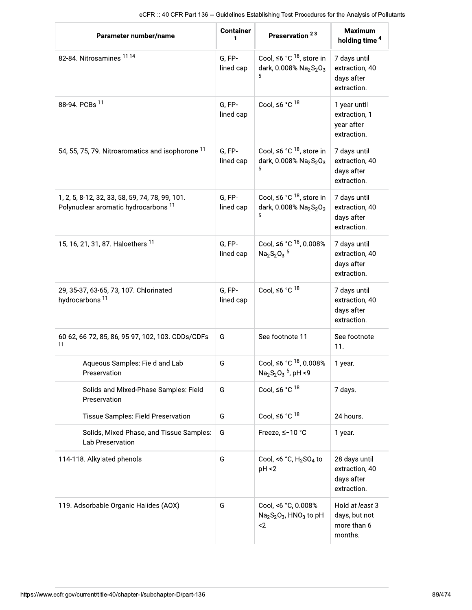| eCFR :: 40 CFR Part 136 -- Guidelines Establishing Test Procedures for the Analysis of Pollutants<br>Parameter number/name | <b>Container</b><br>1 | Preservation <sup>23</sup>                                                                                    | <b>Maximum</b><br>holding time <sup>4</sup>                  |
|----------------------------------------------------------------------------------------------------------------------------|-----------------------|---------------------------------------------------------------------------------------------------------------|--------------------------------------------------------------|
| 82-84. Nitrosamines 1114                                                                                                   | G, FP-<br>lined cap   | Cool, $\leq 6$ °C <sup>18</sup> , store in<br>dark, 0.008% Na <sub>2</sub> S <sub>2</sub> O <sub>3</sub><br>5 | 7 days until<br>extraction, 40<br>days after<br>extraction.  |
| 88-94. PCBs 11                                                                                                             | G, FP-<br>lined cap   | Cool, $\leq 6$ °C <sup>18</sup>                                                                               | 1 year until<br>extraction, 1<br>year after<br>extraction.   |
| 54, 55, 75, 79. Nitroaromatics and isophorone <sup>11</sup>                                                                | G, FP-<br>lined cap   | Cool, ≤6 °C <sup>18</sup> , store in<br>dark, 0.008% Na2S2O3<br>5                                             | 7 days until<br>extraction, 40<br>days after<br>extraction.  |
| 1, 2, 5, 8-12, 32, 33, 58, 59, 74, 78, 99, 101.<br>Polynuclear aromatic hydrocarbons <sup>11</sup>                         | G, FP-<br>lined cap   | Cool, $\leq 6$ °C <sup>18</sup> , store in<br>dark, 0.008% Na <sub>2</sub> S <sub>2</sub> O <sub>3</sub><br>5 | 7 days until<br>extraction, 40<br>days after<br>extraction.  |
| 15, 16, 21, 31, 87. Haloethers <sup>11</sup>                                                                               | G, FP-<br>lined cap   | Cool, ≤6 °C <sup>18</sup> , 0.008%<br>$Na2S2O3$ <sup>5</sup>                                                  | 7 days until<br>extraction, 40<br>days after<br>extraction.  |
| 29, 35-37, 63-65, 73, 107. Chlorinated<br>hydrocarbons <sup>11</sup>                                                       | G, FP-<br>lined cap   | Cool, $\leq 6$ °C $^{18}$                                                                                     | 7 days until<br>extraction, 40<br>days after<br>extraction.  |
| 60-62, 66-72, 85, 86, 95-97, 102, 103. CDDs/CDFs<br>11                                                                     | G                     | See footnote 11                                                                                               | See footnote<br>11.                                          |
| Aqueous Samples: Field and Lab<br>Preservation                                                                             | G                     | Cool, ≤6 °C <sup>18</sup> , 0.008%<br>Na <sub>2</sub> S <sub>2</sub> O <sub>3</sub> <sup>5</sup> , pH <9      | 1 year.                                                      |
| Solids and Mixed-Phase Samples: Field<br>Preservation                                                                      | G                     | Cool, $\leq 6$ °C $^{18}$                                                                                     | 7 days.                                                      |
| Tissue Samples: Field Preservation                                                                                         | G                     | Cool, $\leq 6$ °C $^{18}$                                                                                     | 24 hours.                                                    |
| Solids, Mixed-Phase, and Tissue Samples:<br>Lab Preservation                                                               | G                     | Freeze, ≤-10 °C                                                                                               | 1 year.                                                      |
| 114-118. Alkylated phenols                                                                                                 | G                     | Cool, <6 $^{\circ}$ C, H <sub>2</sub> SO <sub>4</sub> to<br>pH < 2                                            | 28 days until<br>extraction, 40<br>days after<br>extraction. |
| 119. Adsorbable Organic Halides (AOX)                                                                                      | G                     | Cool, <6 °C, 0.008%<br>$Na2S2O3$ , HNO <sub>3</sub> to pH<br>$\leq$                                           | Hold at least 3<br>days, but not<br>more than 6<br>months.   |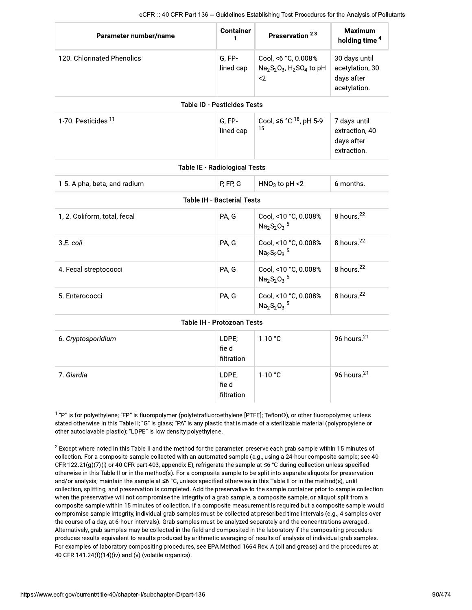|                              |                                      | eCFR :: 40 CFR Part 136 -- Guidelines Establishing Test Procedures for the Analysis of Pollutants |                                                                |
|------------------------------|--------------------------------------|---------------------------------------------------------------------------------------------------|----------------------------------------------------------------|
| Parameter number/name        | <b>Container</b><br>1                | Preservation <sup>23</sup>                                                                        | <b>Maximum</b><br>holding time <sup>4</sup>                    |
| 120. Chlorinated Phenolics   | G, FP-<br>lined cap                  | Cool, <6 °C, 0.008%<br>$Na2S2O3$ , H <sub>2</sub> SO <sub>4</sub> to pH<br>$2$                    | 30 days until<br>acetylation, 30<br>days after<br>acetylation. |
|                              | <b>Table ID - Pesticides Tests</b>   |                                                                                                   |                                                                |
| 1-70. Pesticides 11          | G.FP-<br>lined cap                   | Cool, ≤6 °C <sup>18</sup> , pH 5-9<br>15                                                          | 7 days until<br>extraction, 40<br>days after<br>extraction.    |
|                              | <b>Table IE - Radiological Tests</b> |                                                                                                   |                                                                |
| 1-5. Alpha, beta, and radium | P, FP, G                             | $HNO3$ to pH <2                                                                                   | 6 months.                                                      |
|                              | <b>Table IH - Bacterial Tests</b>    |                                                                                                   |                                                                |
| 1, 2. Coliform, total, fecal | PA, G                                | Cool, <10 °C, 0.008%<br>$Na2S2O3$ <sup>5</sup>                                                    | 8 hours. <sup>22</sup>                                         |
| 3.E. coli                    | PA, G                                | Cool, <10 °C, 0.008%<br>$Na2S2O3$ <sup>5</sup>                                                    | 8 hours. <sup>22</sup>                                         |
| 4. Fecal streptococci        | PA, G                                | Cool, <10 °C, 0.008%<br>$Na2S2O3$ <sup>5</sup>                                                    | 8 hours. <sup>22</sup>                                         |
| 5. Enterococci               | PA, G                                | Cool, <10 °C, 0.008%<br>$Na2S2O3$ <sup>5</sup>                                                    | 8 hours. <sup>22</sup>                                         |
|                              | <b>Table IH - Protozoan Tests</b>    |                                                                                                   |                                                                |
| 6. Cryptosporidium           | LDPE;<br>field<br>filtration         | $1-10 °C$                                                                                         | 96 hours. <sup>21</sup>                                        |
| 7. Giardia                   | LDPE;<br>field<br>filtration         | $1-10 °C$                                                                                         | 96 hours. <sup>21</sup>                                        |

"P" is for polyethylene; "FP" is fluoropolymer (polytetrafluoroethylene [PTFE]; Teflon®), or other fluoropolymer, unless stated otherwise in this Table II; "G" is glass; "PA" is any plastic that is made of a sterilizable material (polypropylene or other autoclavable plastic); "LDPE" is low density polyethylene.

 $^2$  Except where noted in this Table II and the method for the parameter, preserve each grab sample within 15 minutes of collection. For a composite sample collected with an automated sample (e.g., using a 24-hour composite sample; see 40 CFR 122.21(g)(7)(i) or 40 CFR part 403, appendix E), refrigerate the sample at  $\leq 6$  °C during collection unless specified otherwise in this Table II or in the method(s). For a composite sample to be split into separate aliquots for preservation and/or analysis, maintain the sample at  $\leq 6$  °C, unless specified otherwise in this Table II or in the method(s), until collection, splitting, and preservation is completed. Add the preservative to the sample container prior to sample collection when the preservative will not compromise the integrity of a grab sample, a composite sample, or aliquot split from a composite sample within 15 minutes of collection. If a composite measurement is required but a composite sample would compromise sample integrity, individual grab samples must be collected at prescribed time intervals (e.g., 4 samples over the course of a day, at 6-hour intervals). Grab samples must be analyzed separately and the concentrations averaged. Alternatively, grab samples may be collected in the field and composited in the laboratory if the compositing procedure produces results equivalent to results produced by arithmetic averaging of results of analysis of individual grab samples. For examples of laboratory compositing procedures, see EPA Method 1664 Rev. A (oil and grease) and the procedures at 40 CFR 141.24(f)(14)(iv) and (v) (volatile organics).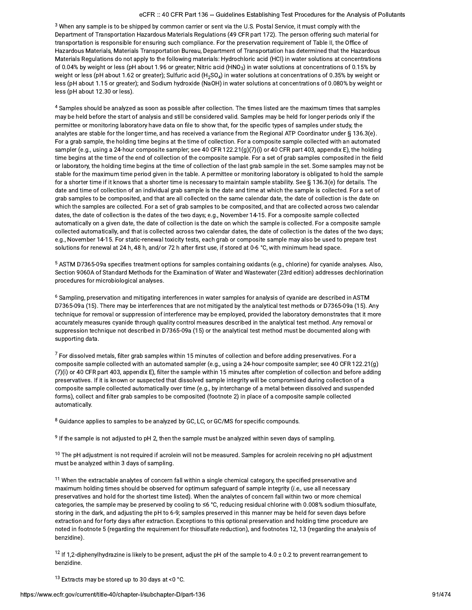## eCFR :: 40 CFR Part 136 -- Guidelines Establishing Test Procedures for the Analysis of Pollutants

Procedures for the Analysis of Pollutants<br>
it must comply with the<br>
son offering such material for<br>
ent of Table II, the Office of<br>
determined that the Hazardous<br>
tater solutions at concentrations<br>
at concentrations of 0.1  $^3$  When any sample is to be shipped by common carrier or sent via the U.S. Postal Service, it must comply with the  $\,$ Department of Transportation Hazardous Materials Regulations (49 CFR part 172). The person offering such material for transportation is responsible for ensuring such compliance. For the preservation requirement of Table II, the Office of Hazardous Materials, Materials Transportation Bureau, Department of Transportation has determined that the Hazardous Materials Regulations do not apply to the following materials: Hydrochloric acid (HCl) in water solutions at concentrations of 0.04% by weight or less (pH about 1.96 or greater; Nitric acid (HNO $_3$ ) in water solutions at concentrations of 0.15% by weight or less (pH about 1.62 or greater); Sulfuric acid  $(H_2SO_A)$  in water solutions at concentrations of 0.35% by weight or estimate of the complete of the Congression, Samario and (17204) in water solutions at concentrations of 0.080% by weight or less (pH about 1.15 or greater); and Sodium hydroxide (NaOH) in water solutions at concentrations less (pH about 12.30 or less).

<sup>4</sup> Samples should be analyzed as soon as possible after collection. The times listed are the maximum times that samples may be held before the start of analysis and still be considered valid. Samples may be held for longer periods only if the permittee or monitoring laboratory have data on file to show that, for the specific types of samples under study, the analytes are stable for the longer time, and has received a variance from the Regional ATP Coordinator under § 136.3(e). For a grab sample, the holding time begins at the time of collection. For a composite sample collected with an automated sampler (e.g., using a 24-hour composite sampler; see 40 CFR 122.21(g)(7)(i) or 40 CFR part 403, appendix E), the holding time begins at the time of the end of collection of the composite sample. For a set of grab samples composited in the field or laboratory, the holding time begins at the time of collection of the last grab sample in the set. Some samples may not be stable for the maximum time period given in the table. A permittee or monitoring laboratory is obligated to hold the sample for a shorter time if it knows that a shorter time is necessary to maintain sample stability. See  $\S$  136.3(e) for details. The date and time of collection of an individual grab sample is the date and time at which the sample is collected. For a set of grab samples to be composited, and that are all collected on the same calendar date, the date of collection is the date on which the samples are collected. For a set of grab samples to be composited, and that are collected across two calendar dates, the date of collection is the dates of the two days; e.g., November 14-15. For a composite sample collected automatically on a given date, the date of collection is the date on which the sample is collected. For a composite sample collected automatically, and that is collected across two calendar dates, the date of collection is the dates of the two days; e.g., November 14-15. For static-renewal toxicity tests, each grab or composite sample may also be used to prepare test solutions for renewal at 24 h, 48 h, and/or 72 h after first use, if stored at 0-6 °C, with minimum head space.

 $^\circ$  ASTM D7365-09a specifies treatment options for samples containing oxidants (e.g., chlorine) for cyanide analyses. Also, Section 9060A of Standard Methods for the Examination of Water and Wastewater (23rd edition) addresses dechlorination procedures for microbiological analyses.

 $^{\rm 6}$  Sampling, preservation and mitigating interferences in water samples for analysis of cyanide are described in ASTM D7365-09a (15). There may be interferences that are not mitigated by the analytical test methods or D7365-09a (15). Any technique for removal or suppression of interference may be employed, provided the laboratory demonstrates that it more accurately measures cyanide through quality control measures described in the analytical test method. Any removal or suppression technique not described in D7365-09a (15) or the analytical test method must be documented along with supporting data.

 $^\prime$  For dissolved metals, filter grab samples within 15 minutes of collection and before adding preservatives. For a composite sample collected with an automated sampler (e.g., using a 24-hour composite sampler; see 40 CFR 122.21(g) (7)(i) or 40 CFR part 403, appendix E), filter the sample within 15 minutes after completion of collection and before adding preservatives. If it is known or suspected that dissolved sample integrity will be compromised during collection of a composite sample collected automatically over time (e.g., by interchange of a metal between dissolved and suspended forms), collect and filter grab samples to be composited (footnote 2) in place of a composite sample collected automatically.

 $^8$  Guidance applies to samples to be analyzed by GC, LC, or GC/MS for specific compounds.

 $\,9$  If the sample is not adjusted to pH 2, then the sample must be analyzed within seven days of sampling.

 $10$  The pH adjustment is not required if acrolein will not be measured. Samples for acrolein receiving no pH adjustment must be analyzed within 3 days of sampling. <sup>10</sup> The pH adjustment is not required if acrolein will not be measured. Samples for acrolein receiving no pH adjusti<br>must be analyzed within 3 days of sampling.<br><sup>11</sup> When the extractable analytes of concern fall within a

maximum holding times should be observed for optimum safequard of sample integrity (i.e., use all necessary preservatives and hold for the shortest time listed). When the analytes of concern fall within two or more chemical categories, the sample may be preserved by cooling to  $\leq 6$  °C, reducing residual chlorine with 0.008% sodium thiosulfate, storing in the dark, and adjusting the pH to 6-9; samples preserved in this manner may be held for seven days before extraction and for forty days after extraction. Exceptions to this optional preservation and holding time procedure are noted in footnote 5 (regarding the requirement for thiosulfate reduction), and footnotes 12, 13 (regarding the analysis of benzidine).

<sup>12</sup> If 1,2-diphenylhydrazine is likely to be present, adjust the pH of the sample to 4.0 ± 0.2 to prevent rearrangement to penziaine.  $be$ <sub>13</sub>

 $13$  Extracts may be stored up to 30 days at <0  $^{\circ}$ C.